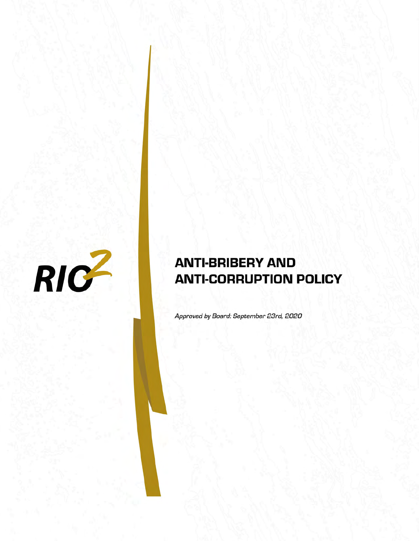

# **ANTI-BRIBERY AND ANTI-CORRUPTION POLICY**

Approved by Board: September 23rd, 2020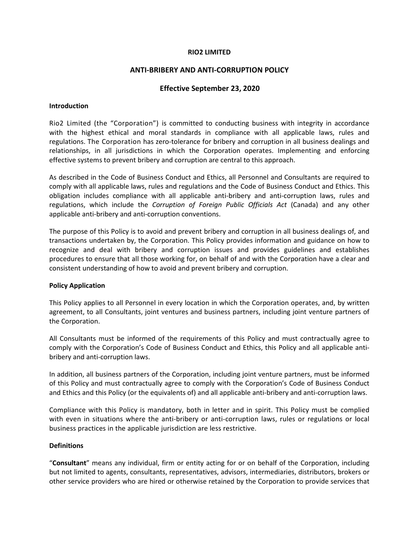#### **RIO2 LIMITED**

#### **ANTI-BRIBERY AND ANTI-CORRUPTION POLICY**

## **Effective September 23, 2020**

#### **Introduction**

Rio2 Limited (the "Corporation") is committed to conducting business with integrity in accordance with the highest ethical and moral standards in compliance with all applicable laws, rules and regulations. The Corporation has zero-tolerance for bribery and corruption in all business dealings and relationships, in all jurisdictions in which the Corporation operates. Implementing and enforcing effective systems to prevent bribery and corruption are central to this approach.

As described in the Code of Business Conduct and Ethics, all Personnel and Consultants are required to comply with all applicable laws, rules and regulations and the Code of Business Conduct and Ethics. This obligation includes compliance with all applicable anti-bribery and anti-corruption laws, rules and regulations, which include the *Corruption of Foreign Public Officials Act* (Canada) and any other applicable anti-bribery and anti-corruption conventions.

The purpose of this Policy is to avoid and prevent bribery and corruption in all business dealings of, and transactions undertaken by, the Corporation. This Policy provides information and guidance on how to recognize and deal with bribery and corruption issues and provides guidelines and establishes procedures to ensure that all those working for, on behalf of and with the Corporation have a clear and consistent understanding of how to avoid and prevent bribery and corruption.

#### **Policy Application**

This Policy applies to all Personnel in every location in which the Corporation operates, and, by written agreement, to all Consultants, joint ventures and business partners, including joint venture partners of the Corporation.

All Consultants must be informed of the requirements of this Policy and must contractually agree to comply with the Corporation's Code of Business Conduct and Ethics, this Policy and all applicable antibribery and anti-corruption laws.

In addition, all business partners of the Corporation, including joint venture partners, must be informed of this Policy and must contractually agree to comply with the Corporation's Code of Business Conduct and Ethics and this Policy (or the equivalents of) and all applicable anti-bribery and anti-corruption laws.

Compliance with this Policy is mandatory, both in letter and in spirit. This Policy must be complied with even in situations where the anti-bribery or anti-corruption laws, rules or regulations or local business practices in the applicable jurisdiction are less restrictive.

## **Definitions**

"**Consultant**" means any individual, firm or entity acting for or on behalf of the Corporation, including but not limited to agents, consultants, representatives, advisors, intermediaries, distributors, brokers or other service providers who are hired or otherwise retained by the Corporation to provide services that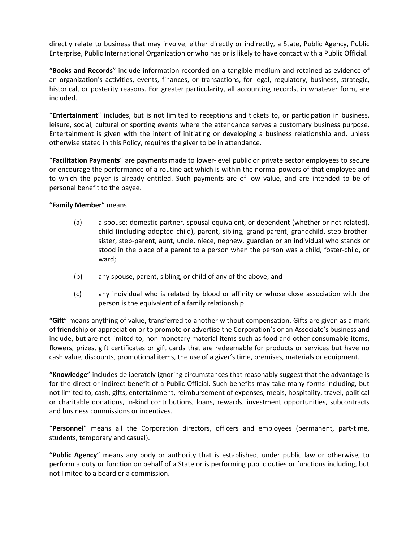directly relate to business that may involve, either directly or indirectly, a State, Public Agency, Public Enterprise, Public International Organization or who has or is likely to have contact with a Public Official.

"**Books and Records**" include information recorded on a tangible medium and retained as evidence of an organization's activities, events, finances, or transactions, for legal, regulatory, business, strategic, historical, or posterity reasons. For greater particularity, all accounting records, in whatever form, are included.

"**Entertainment**" includes, but is not limited to receptions and tickets to, or participation in business, leisure, social, cultural or sporting events where the attendance serves a customary business purpose. Entertainment is given with the intent of initiating or developing a business relationship and, unless otherwise stated in this Policy, requires the giver to be in attendance.

"**Facilitation Payments**" are payments made to lower-level public or private sector employees to secure or encourage the performance of a routine act which is within the normal powers of that employee and to which the payer is already entitled. Such payments are of low value, and are intended to be of personal benefit to the payee.

## "**Family Member**" means

- (a) a spouse; domestic partner, spousal equivalent, or dependent (whether or not related), child (including adopted child), parent, sibling, grand-parent, grandchild, step brothersister, step-parent, aunt, uncle, niece, nephew, guardian or an individual who stands or stood in the place of a parent to a person when the person was a child, foster-child, or ward;
- (b) any spouse, parent, sibling, or child of any of the above; and
- (c) any individual who is related by blood or affinity or whose close association with the person is the equivalent of a family relationship.

"**Gift**" means anything of value, transferred to another without compensation. Gifts are given as a mark of friendship or appreciation or to promote or advertise the Corporation's or an Associate's business and include, but are not limited to, non-monetary material items such as food and other consumable items, flowers, prizes, gift certificates or gift cards that are redeemable for products or services but have no cash value, discounts, promotional items, the use of a giver's time, premises, materials or equipment.

"**Knowledge**" includes deliberately ignoring circumstances that reasonably suggest that the advantage is for the direct or indirect benefit of a Public Official. Such benefits may take many forms including, but not limited to, cash, gifts, entertainment, reimbursement of expenses, meals, hospitality, travel, political or charitable donations, in-kind contributions, loans, rewards, investment opportunities, subcontracts and business commissions or incentives.

"**Personnel**" means all the Corporation directors, officers and employees (permanent, part-time, students, temporary and casual).

"**Public Agency**" means any body or authority that is established, under public law or otherwise, to perform a duty or function on behalf of a State or is performing public duties or functions including, but not limited to a board or a commission.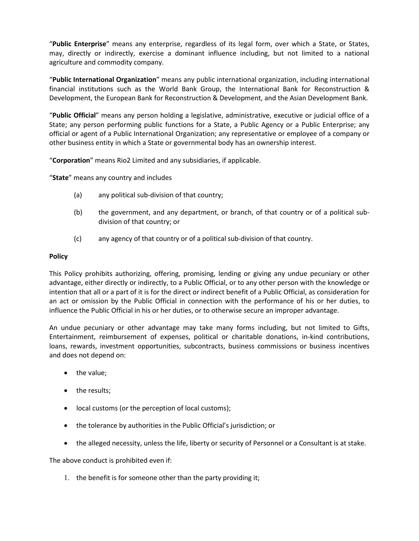"**Public Enterprise**" means any enterprise, regardless of its legal form, over which a State, or States, may, directly or indirectly, exercise a dominant influence including, but not limited to a national agriculture and commodity company.

"**Public International Organization**" means any public international organization, including international financial institutions such as the World Bank Group, the International Bank for Reconstruction & Development, the European Bank for Reconstruction & Development, and the Asian Development Bank.

"**Public Official**" means any person holding a legislative, administrative, executive or judicial office of a State; any person performing public functions for a State, a Public Agency or a Public Enterprise; any official or agent of a Public International Organization; any representative or employee of a company or other business entity in which a State or governmental body has an ownership interest.

"**Corporation**" means Rio2 Limited and any subsidiaries, if applicable.

"**State**" means any country and includes

- (a) any political sub-division of that country;
- (b) the government, and any department, or branch, of that country or of a political subdivision of that country; or
- (c) any agency of that country or of a political sub-division of that country.

#### **Policy**

This Policy prohibits authorizing, offering, promising, lending or giving any undue pecuniary or other advantage, either directly or indirectly, to a Public Official, or to any other person with the knowledge or intention that all or a part of it is for the direct or indirect benefit of a Public Official, as consideration for an act or omission by the Public Official in connection with the performance of his or her duties, to influence the Public Official in his or her duties, or to otherwise secure an improper advantage.

An undue pecuniary or other advantage may take many forms including, but not limited to Gifts, Entertainment, reimbursement of expenses, political or charitable donations, in-kind contributions, loans, rewards, investment opportunities, subcontracts, business commissions or business incentives and does not depend on:

- the value;
- the results;
- local customs (or the perception of local customs);
- the tolerance by authorities in the Public Official's jurisdiction; or
- the alleged necessity, unless the life, liberty or security of Personnel or a Consultant is at stake.

The above conduct is prohibited even if:

1. the benefit is for someone other than the party providing it;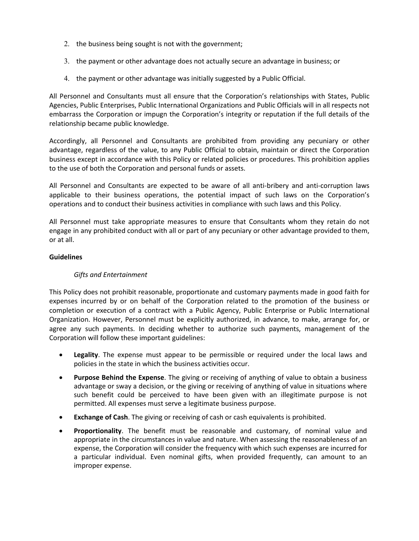- 2. the business being sought is not with the government;
- 3. the payment or other advantage does not actually secure an advantage in business; or
- 4. the payment or other advantage was initially suggested by a Public Official.

All Personnel and Consultants must all ensure that the Corporation's relationships with States, Public Agencies, Public Enterprises, Public International Organizations and Public Officials will in all respects not embarrass the Corporation or impugn the Corporation's integrity or reputation if the full details of the relationship became public knowledge.

Accordingly, all Personnel and Consultants are prohibited from providing any pecuniary or other advantage, regardless of the value, to any Public Official to obtain, maintain or direct the Corporation business except in accordance with this Policy or related policies or procedures. This prohibition applies to the use of both the Corporation and personal funds or assets.

All Personnel and Consultants are expected to be aware of all anti-bribery and anti-corruption laws applicable to their business operations, the potential impact of such laws on the Corporation's operations and to conduct their business activities in compliance with such laws and this Policy.

All Personnel must take appropriate measures to ensure that Consultants whom they retain do not engage in any prohibited conduct with all or part of any pecuniary or other advantage provided to them, or at all.

## **Guidelines**

# *Gifts and Entertainment*

This Policy does not prohibit reasonable, proportionate and customary payments made in good faith for expenses incurred by or on behalf of the Corporation related to the promotion of the business or completion or execution of a contract with a Public Agency, Public Enterprise or Public International Organization. However, Personnel must be explicitly authorized, in advance, to make, arrange for, or agree any such payments. In deciding whether to authorize such payments, management of the Corporation will follow these important guidelines:

- **Legality**. The expense must appear to be permissible or required under the local laws and policies in the state in which the business activities occur.
- **Purpose Behind the Expense**. The giving or receiving of anything of value to obtain a business advantage or sway a decision, or the giving or receiving of anything of value in situations where such benefit could be perceived to have been given with an illegitimate purpose is not permitted. All expenses must serve a legitimate business purpose.
- **Exchange of Cash**. The giving or receiving of cash or cash equivalents is prohibited.
- **Proportionality**. The benefit must be reasonable and customary, of nominal value and appropriate in the circumstances in value and nature. When assessing the reasonableness of an expense, the Corporation will consider the frequency with which such expenses are incurred for a particular individual. Even nominal gifts, when provided frequently, can amount to an improper expense.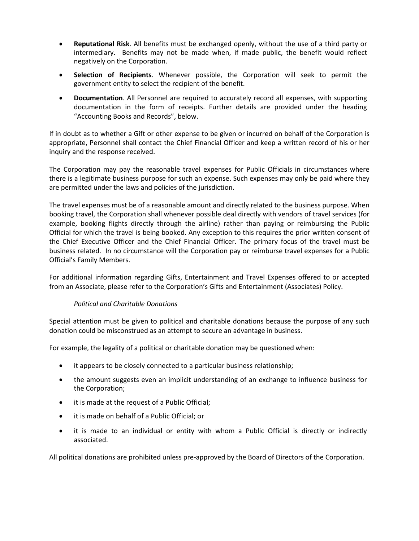- **Reputational Risk**. All benefits must be exchanged openly, without the use of a third party or intermediary. Benefits may not be made when, if made public, the benefit would reflect negatively on the Corporation.
- **Selection of Recipients**. Whenever possible, the Corporation will seek to permit the government entity to select the recipient of the benefit.
- **Documentation**. All Personnel are required to accurately record all expenses, with supporting documentation in the form of receipts. Further details are provided under the heading "Accounting Books and Records", below.

If in doubt as to whether a Gift or other expense to be given or incurred on behalf of the Corporation is appropriate, Personnel shall contact the Chief Financial Officer and keep a written record of his or her inquiry and the response received.

The Corporation may pay the reasonable travel expenses for Public Officials in circumstances where there is a legitimate business purpose for such an expense. Such expenses may only be paid where they are permitted under the laws and policies of the jurisdiction.

The travel expenses must be of a reasonable amount and directly related to the business purpose. When booking travel, the Corporation shall whenever possible deal directly with vendors of travel services (for example, booking flights directly through the airline) rather than paying or reimbursing the Public Official for which the travel is being booked. Any exception to this requires the prior written consent of the Chief Executive Officer and the Chief Financial Officer. The primary focus of the travel must be business related. In no circumstance will the Corporation pay or reimburse travel expenses for a Public Official's Family Members.

For additional information regarding Gifts, Entertainment and Travel Expenses offered to or accepted from an Associate, please refer to the Corporation's Gifts and Entertainment (Associates) Policy.

## *Political and Charitable Donations*

Special attention must be given to political and charitable donations because the purpose of any such donation could be misconstrued as an attempt to secure an advantage in business.

For example, the legality of a political or charitable donation may be questioned when:

- it appears to be closely connected to a particular business relationship;
- the amount suggests even an implicit understanding of an exchange to influence business for the Corporation;
- it is made at the request of a Public Official;
- it is made on behalf of a Public Official; or
- it is made to an individual or entity with whom a Public Official is directly or indirectly associated.

All political donations are prohibited unless pre-approved by the Board of Directors of the Corporation.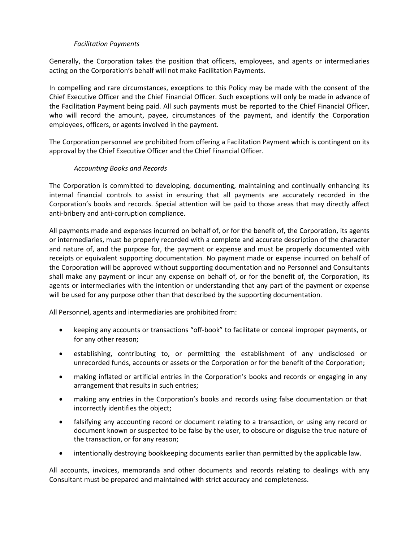## *Facilitation Payments*

Generally, the Corporation takes the position that officers, employees, and agents or intermediaries acting on the Corporation's behalf will not make Facilitation Payments.

In compelling and rare circumstances, exceptions to this Policy may be made with the consent of the Chief Executive Officer and the Chief Financial Officer. Such exceptions will only be made in advance of the Facilitation Payment being paid. All such payments must be reported to the Chief Financial Officer, who will record the amount, payee, circumstances of the payment, and identify the Corporation employees, officers, or agents involved in the payment.

The Corporation personnel are prohibited from offering a Facilitation Payment which is contingent on its approval by the Chief Executive Officer and the Chief Financial Officer.

## *Accounting Books and Records*

The Corporation is committed to developing, documenting, maintaining and continually enhancing its internal financial controls to assist in ensuring that all payments are accurately recorded in the Corporation's books and records. Special attention will be paid to those areas that may directly affect anti-bribery and anti-corruption compliance.

All payments made and expenses incurred on behalf of, or for the benefit of, the Corporation, its agents or intermediaries, must be properly recorded with a complete and accurate description of the character and nature of, and the purpose for, the payment or expense and must be properly documented with receipts or equivalent supporting documentation. No payment made or expense incurred on behalf of the Corporation will be approved without supporting documentation and no Personnel and Consultants shall make any payment or incur any expense on behalf of, or for the benefit of, the Corporation, its agents or intermediaries with the intention or understanding that any part of the payment or expense will be used for any purpose other than that described by the supporting documentation.

All Personnel, agents and intermediaries are prohibited from:

- keeping any accounts or transactions "off-book" to facilitate or conceal improper payments, or for any other reason;
- establishing, contributing to, or permitting the establishment of any undisclosed or unrecorded funds, accounts or assets or the Corporation or for the benefit of the Corporation;
- making inflated or artificial entries in the Corporation's books and records or engaging in any arrangement that results in such entries;
- making any entries in the Corporation's books and records using false documentation or that incorrectly identifies the object;
- falsifying any accounting record or document relating to a transaction, or using any record or document known or suspected to be false by the user, to obscure or disguise the true nature of the transaction, or for any reason;
- intentionally destroying bookkeeping documents earlier than permitted by the applicable law.

All accounts, invoices, memoranda and other documents and records relating to dealings with any Consultant must be prepared and maintained with strict accuracy and completeness.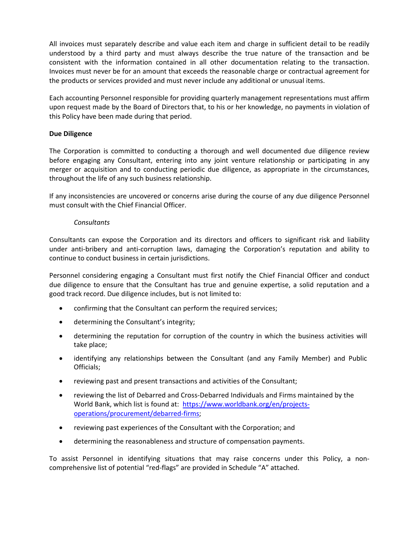All invoices must separately describe and value each item and charge in sufficient detail to be readily understood by a third party and must always describe the true nature of the transaction and be consistent with the information contained in all other documentation relating to the transaction. Invoices must never be for an amount that exceeds the reasonable charge or contractual agreement for the products or services provided and must never include any additional or unusual items.

Each accounting Personnel responsible for providing quarterly management representations must affirm upon request made by the Board of Directors that, to his or her knowledge, no payments in violation of this Policy have been made during that period.

#### **Due Diligence**

The Corporation is committed to conducting a thorough and well documented due diligence review before engaging any Consultant, entering into any joint venture relationship or participating in any merger or acquisition and to conducting periodic due diligence, as appropriate in the circumstances, throughout the life of any such business relationship.

If any inconsistencies are uncovered or concerns arise during the course of any due diligence Personnel must consult with the Chief Financial Officer.

#### *Consultants*

Consultants can expose the Corporation and its directors and officers to significant risk and liability under anti-bribery and anti-corruption laws, damaging the Corporation's reputation and ability to continue to conduct business in certain jurisdictions.

Personnel considering engaging a Consultant must first notify the Chief Financial Officer and conduct due diligence to ensure that the Consultant has true and genuine expertise, a solid reputation and a good track record. Due diligence includes, but is not limited to:

- confirming that the Consultant can perform the required services;
- determining the Consultant's integrity;
- determining the reputation for corruption of the country in which the business activities will take place;
- identifying any relationships between the Consultant (and any Family Member) and Public Officials;
- reviewing past and present transactions and activities of the Consultant;
- reviewing the list of Debarred and Cross-Debarred Individuals and Firms maintained by the World Bank, which list is found at: [https://www.worldbank.org/en/projects](https://www.worldbank.org/en/projects-operations/procurement/debarred-firms)[operations/procurement/debarred-firms;](https://www.worldbank.org/en/projects-operations/procurement/debarred-firms)
- reviewing past experiences of the Consultant with the Corporation; and
- determining the reasonableness and structure of compensation payments.

To assist Personnel in identifying situations that may raise concerns under this Policy, a noncomprehensive list of potential "red-flags" are provided in Schedule "A" attached.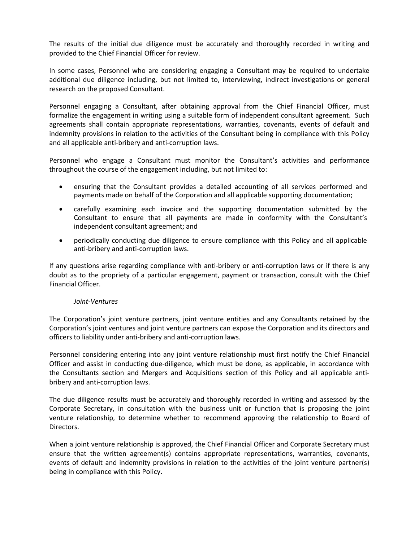The results of the initial due diligence must be accurately and thoroughly recorded in writing and provided to the Chief Financial Officer for review.

In some cases, Personnel who are considering engaging a Consultant may be required to undertake additional due diligence including, but not limited to, interviewing, indirect investigations or general research on the proposed Consultant.

Personnel engaging a Consultant, after obtaining approval from the Chief Financial Officer, must formalize the engagement in writing using a suitable form of independent consultant agreement. Such agreements shall contain appropriate representations, warranties, covenants, events of default and indemnity provisions in relation to the activities of the Consultant being in compliance with this Policy and all applicable anti-bribery and anti-corruption laws.

Personnel who engage a Consultant must monitor the Consultant's activities and performance throughout the course of the engagement including, but not limited to:

- ensuring that the Consultant provides a detailed accounting of all services performed and payments made on behalf of the Corporation and all applicable supporting documentation;
- carefully examining each invoice and the supporting documentation submitted by the Consultant to ensure that all payments are made in conformity with the Consultant's independent consultant agreement; and
- periodically conducting due diligence to ensure compliance with this Policy and all applicable anti-bribery and anti-corruption laws.

If any questions arise regarding compliance with anti-bribery or anti-corruption laws or if there is any doubt as to the propriety of a particular engagement, payment or transaction, consult with the Chief Financial Officer.

#### *Joint-Ventures*

The Corporation's joint venture partners, joint venture entities and any Consultants retained by the Corporation's joint ventures and joint venture partners can expose the Corporation and its directors and officers to liability under anti-bribery and anti-corruption laws.

Personnel considering entering into any joint venture relationship must first notify the Chief Financial Officer and assist in conducting due-diligence, which must be done, as applicable, in accordance with the Consultants section and Mergers and Acquisitions section of this Policy and all applicable antibribery and anti-corruption laws.

The due diligence results must be accurately and thoroughly recorded in writing and assessed by the Corporate Secretary, in consultation with the business unit or function that is proposing the joint venture relationship, to determine whether to recommend approving the relationship to Board of Directors.

When a joint venture relationship is approved, the Chief Financial Officer and Corporate Secretary must ensure that the written agreement(s) contains appropriate representations, warranties, covenants, events of default and indemnity provisions in relation to the activities of the joint venture partner(s) being in compliance with this Policy.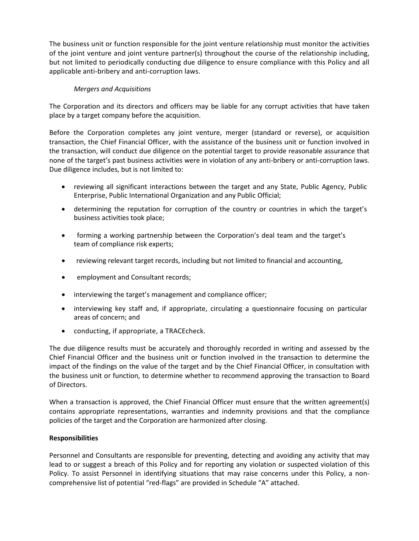The business unit or function responsible for the joint venture relationship must monitor the activities of the joint venture and joint venture partner(s) throughout the course of the relationship including, but not limited to periodically conducting due diligence to ensure compliance with this Policy and all applicable anti-bribery and anti-corruption laws.

# *Mergers and Acquisitions*

The Corporation and its directors and officers may be liable for any corrupt activities that have taken place by a target company before the acquisition.

Before the Corporation completes any joint venture, merger (standard or reverse), or acquisition transaction, the Chief Financial Officer, with the assistance of the business unit or function involved in the transaction, will conduct due diligence on the potential target to provide reasonable assurance that none of the target's past business activities were in violation of any anti-bribery or anti-corruption laws. Due diligence includes, but is not limited to:

- reviewing all significant interactions between the target and any State, Public Agency, Public Enterprise, Public International Organization and any Public Official;
- determining the reputation for corruption of the country or countries in which the target's business activities took place;
- forming a working partnership between the Corporation's deal team and the target's team of compliance risk experts;
- reviewing relevant target records, including but not limited to financial and accounting,
- employment and Consultant records;
- interviewing the target's management and compliance officer;
- interviewing key staff and, if appropriate, circulating a questionnaire focusing on particular areas of concern; and
- conducting, if appropriate, a TRACEcheck.

The due diligence results must be accurately and thoroughly recorded in writing and assessed by the Chief Financial Officer and the business unit or function involved in the transaction to determine the impact of the findings on the value of the target and by the Chief Financial Officer, in consultation with the business unit or function, to determine whether to recommend approving the transaction to Board of Directors.

When a transaction is approved, the Chief Financial Officer must ensure that the written agreement(s) contains appropriate representations, warranties and indemnity provisions and that the compliance policies of the target and the Corporation are harmonized after closing.

## **Responsibilities**

Personnel and Consultants are responsible for preventing, detecting and avoiding any activity that may lead to or suggest a breach of this Policy and for reporting any violation or suspected violation of this Policy. To assist Personnel in identifying situations that may raise concerns under this Policy, a noncomprehensive list of potential "red-flags" are provided in Schedule "A" attached.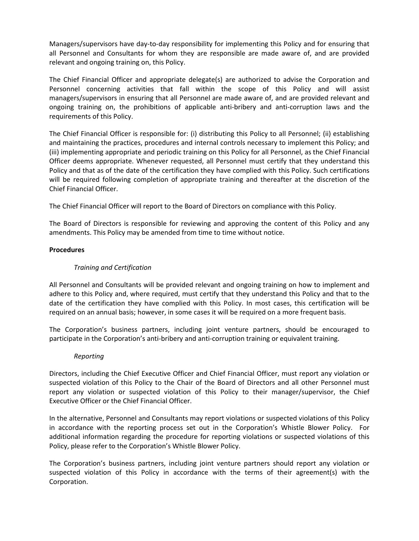Managers/supervisors have day-to-day responsibility for implementing this Policy and for ensuring that all Personnel and Consultants for whom they are responsible are made aware of, and are provided relevant and ongoing training on, this Policy.

The Chief Financial Officer and appropriate delegate(s) are authorized to advise the Corporation and Personnel concerning activities that fall within the scope of this Policy and will assist managers/supervisors in ensuring that all Personnel are made aware of, and are provided relevant and ongoing training on, the prohibitions of applicable anti-bribery and anti-corruption laws and the requirements of this Policy.

The Chief Financial Officer is responsible for: (i) distributing this Policy to all Personnel; (ii) establishing and maintaining the practices, procedures and internal controls necessary to implement this Policy; and (iii) implementing appropriate and periodic training on this Policy for all Personnel, as the Chief Financial Officer deems appropriate. Whenever requested, all Personnel must certify that they understand this Policy and that as of the date of the certification they have complied with this Policy. Such certifications will be required following completion of appropriate training and thereafter at the discretion of the Chief Financial Officer.

The Chief Financial Officer will report to the Board of Directors on compliance with this Policy.

The Board of Directors is responsible for reviewing and approving the content of this Policy and any amendments. This Policy may be amended from time to time without notice.

## **Procedures**

# *Training and Certification*

All Personnel and Consultants will be provided relevant and ongoing training on how to implement and adhere to this Policy and, where required, must certify that they understand this Policy and that to the date of the certification they have complied with this Policy. In most cases, this certification will be required on an annual basis; however, in some cases it will be required on a more frequent basis.

The Corporation's business partners, including joint venture partners, should be encouraged to participate in the Corporation's anti-bribery and anti-corruption training or equivalent training.

## *Reporting*

Directors, including the Chief Executive Officer and Chief Financial Officer, must report any violation or suspected violation of this Policy to the Chair of the Board of Directors and all other Personnel must report any violation or suspected violation of this Policy to their manager/supervisor, the Chief Executive Officer or the Chief Financial Officer.

In the alternative, Personnel and Consultants may report violations or suspected violations of this Policy in accordance with the reporting process set out in the Corporation's Whistle Blower Policy. For additional information regarding the procedure for reporting violations or suspected violations of this Policy, please refer to the Corporation's Whistle Blower Policy.

The Corporation's business partners, including joint venture partners should report any violation or suspected violation of this Policy in accordance with the terms of their agreement(s) with the Corporation.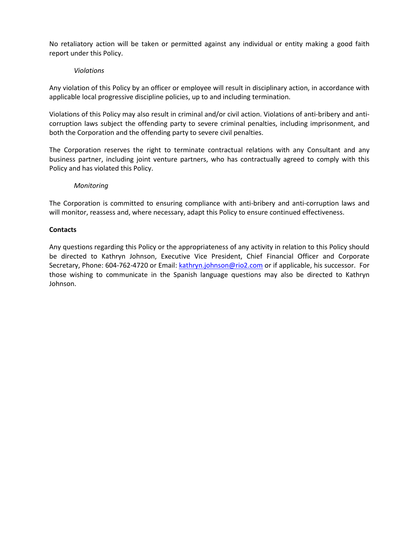No retaliatory action will be taken or permitted against any individual or entity making a good faith report under this Policy.

#### *Violations*

Any violation of this Policy by an officer or employee will result in disciplinary action, in accordance with applicable local progressive discipline policies, up to and including termination.

Violations of this Policy may also result in criminal and/or civil action. Violations of anti-bribery and anticorruption laws subject the offending party to severe criminal penalties, including imprisonment, and both the Corporation and the offending party to severe civil penalties.

The Corporation reserves the right to terminate contractual relations with any Consultant and any business partner, including joint venture partners, who has contractually agreed to comply with this Policy and has violated this Policy.

#### *Monitoring*

The Corporation is committed to ensuring compliance with anti-bribery and anti-corruption laws and will monitor, reassess and, where necessary, adapt this Policy to ensure continued effectiveness.

#### **Contacts**

Any questions regarding this Policy or the appropriateness of any activity in relation to this Policy should be directed to Kathryn Johnson, Executive Vice President, Chief Financial Officer and Corporate Secretary, Phone: 604-762-4720 or Email: [kathryn.johnson@rio2.com](mailto:kathryn.johnson@rio2.com) or if applicable, his successor. For those wishing to communicate in the Spanish language questions may also be directed to Kathryn Johnson.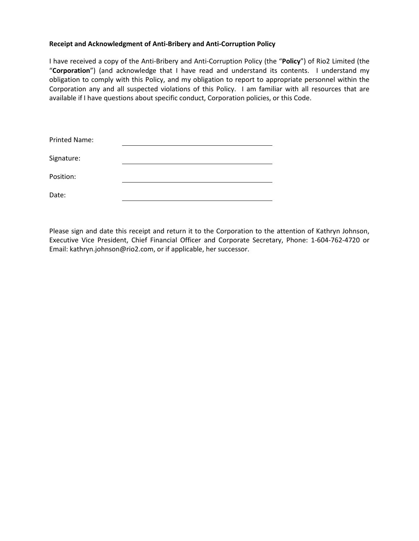#### **Receipt and Acknowledgment of Anti-Bribery and Anti-Corruption Policy**

I have received a copy of the Anti-Bribery and Anti-Corruption Policy (the "**Policy**") of Rio2 Limited (the "**Corporation**") (and acknowledge that I have read and understand its contents. I understand my obligation to comply with this Policy, and my obligation to report to appropriate personnel within the Corporation any and all suspected violations of this Policy. I am familiar with all resources that are available if I have questions about specific conduct, Corporation policies, or this Code.

| <b>Printed Name:</b> |  |
|----------------------|--|
| Signature:           |  |
| Position:            |  |
| Date:                |  |

Please sign and date this receipt and return it to the Corporation to the attention of Kathryn Johnson, Executive Vice President, Chief Financial Officer and Corporate Secretary, Phone: 1-604-762-4720 or Email: kathryn.johnson@rio2.com, or if applicable, her successor.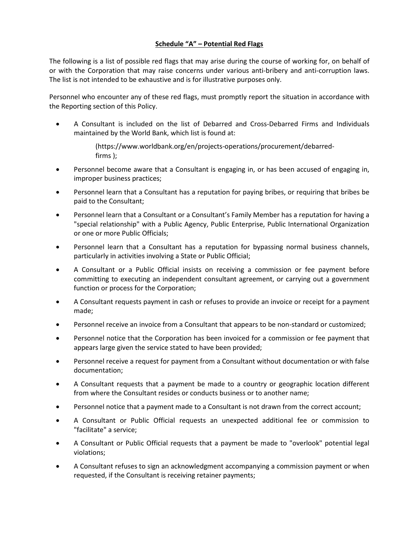# **Schedule "A" – Potential Red Flags**

The following is a list of possible red flags that may arise during the course of working for, on behalf of or with the Corporation that may raise concerns under various anti-bribery and anti-corruption laws. The list is not intended to be exhaustive and is for illustrative purposes only.

Personnel who encounter any of these red flags, must promptly report the situation in accordance with the Reporting section of this Policy.

• A Consultant is included on the list of Debarred and Cross-Debarred Firms and Individuals maintained by the World Bank, which list is found at:

> (https://www.worldbank.org/en/projects-operations/procurement/debarredfirms );

- Personnel become aware that a Consultant is engaging in, or has been accused of engaging in, improper business practices;
- Personnel learn that a Consultant has a reputation for paying bribes, or requiring that bribes be paid to the Consultant;
- Personnel learn that a Consultant or a Consultant's Family Member has a reputation for having a "special relationship" with a Public Agency, Public Enterprise, Public International Organization or one or more Public Officials;
- Personnel learn that a Consultant has a reputation for bypassing normal business channels, particularly in activities involving a State or Public Official;
- A Consultant or a Public Official insists on receiving a commission or fee payment before committing to executing an independent consultant agreement, or carrying out a government function or process for the Corporation;
- A Consultant requests payment in cash or refuses to provide an invoice or receipt for a payment made;
- Personnel receive an invoice from a Consultant that appears to be non-standard or customized;
- Personnel notice that the Corporation has been invoiced for a commission or fee payment that appears large given the service stated to have been provided;
- Personnel receive a request for payment from a Consultant without documentation or with false documentation;
- A Consultant requests that a payment be made to a country or geographic location different from where the Consultant resides or conducts business or to another name;
- Personnel notice that a payment made to a Consultant is not drawn from the correct account;
- A Consultant or Public Official requests an unexpected additional fee or commission to "facilitate" a service;
- A Consultant or Public Official requests that a payment be made to "overlook" potential legal violations;
- A Consultant refuses to sign an acknowledgment accompanying a commission payment or when requested, if the Consultant is receiving retainer payments;